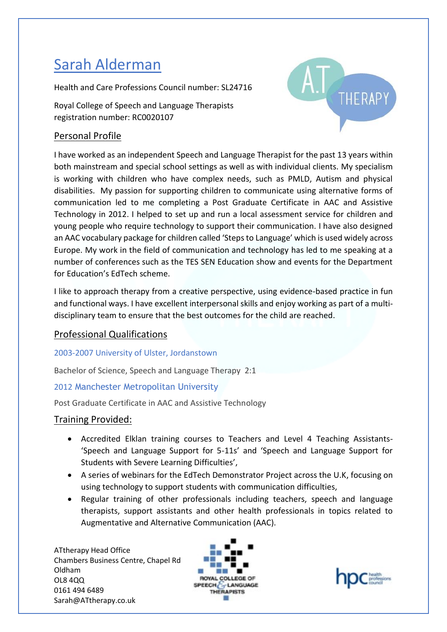# Sarah Alderman

Health and Care Professions Council number: SL24716

Royal College of Speech and Language Therapists registration number: RC0020107

# Personal Profile



I have worked as an independent Speech and Language Therapist for the past 13 years within both mainstream and special school settings as well as with individual clients. My specialism is working with children who have complex needs, such as PMLD, Autism and physical disabilities. My passion for supporting children to communicate using alternative forms of communication led to me completing a Post Graduate Certificate in AAC and Assistive Technology in 2012. I helped to set up and run a local assessment service for children and young people who require technology to support their communication. I have also designed an AAC vocabulary package for children called 'Steps to Language' which is used widely across Europe. My work in the field of communication and technology has led to me speaking at a number of conferences such as the TES SEN Education show and events for the Department for Education's EdTech scheme.

I like to approach therapy from a creative perspective, using evidence-based practice in fun and functional ways. I have excellent interpersonal skills and enjoy working as part of a multidisciplinary team to ensure that the best outcomes for the child are reached.

## Professional Qualifications

### 2003-2007 University of Ulster, Jordanstown

Bachelor of Science, Speech and Language Therapy 2:1

## 2012 Manchester Metropolitan University

Post Graduate Certificate in AAC and Assistive Technology

## Training Provided:

- Accredited Elklan training courses to Teachers and Level 4 Teaching Assistants- 'Speech and Language Support for 5-11s' and 'Speech and Language Support for Students with Severe Learning Difficulties',
- A series of webinars for the EdTech Demonstrator Project across the U.K, focusing on using technology to support students with communication difficulties,
- Regular training of other professionals including teachers, speech and language therapists, support assistants and other health professionals in topics related to Augmentative and Alternative Communication (AAC).

ATtherapy Head Office Chambers Business Centre, Chapel Rd Oldham OL8 4QQ 0161 494 6489 Sarah@ATtherapy.co.uk



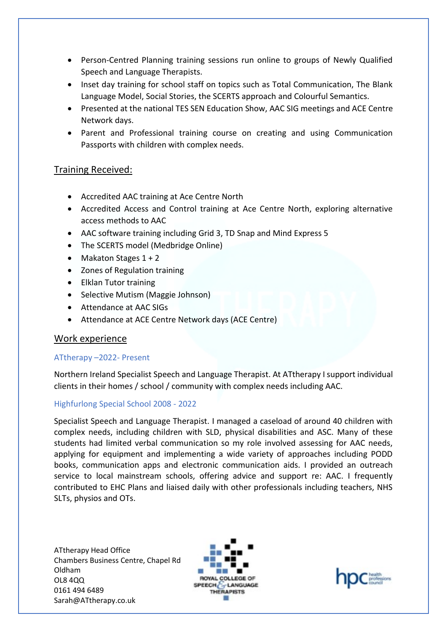- Person-Centred Planning training sessions run online to groups of Newly Qualified Speech and Language Therapists.
- Inset day training for school staff on topics such as Total Communication, The Blank Language Model, Social Stories, the SCERTS approach and Colourful Semantics.
- Presented at the national TES SEN Education Show, AAC SIG meetings and ACE Centre Network days.
- Parent and Professional training course on creating and using Communication Passports with children with complex needs.

## Training Received:

- Accredited AAC training at Ace Centre North
- Accredited Access and Control training at Ace Centre North, exploring alternative access methods to AAC
- AAC software training including Grid 3, TD Snap and Mind Express 5
- The SCERTS model (Medbridge Online)
- Makaton Stages  $1 + 2$
- Zones of Regulation training
- Elklan Tutor training
- Selective Mutism (Maggie Johnson)
- Attendance at AAC SIGs
- Attendance at ACE Centre Network days (ACE Centre)

## Work experience

### ATtherapy –2022- Present

Northern Ireland Specialist Speech and Language Therapist. At ATtherapy I support individual clients in their homes / school / community with complex needs including AAC.

### Highfurlong Special School 2008 - 2022

Specialist Speech and Language Therapist. I managed a caseload of around 40 children with complex needs, including children with SLD, physical disabilities and ASC. Many of these students had limited verbal communication so my role involved assessing for AAC needs, applying for equipment and implementing a wide variety of approaches including PODD books, communication apps and electronic communication aids. I provided an outreach service to local mainstream schools, offering advice and support re: AAC. I frequently contributed to EHC Plans and liaised daily with other professionals including teachers, NHS SLTs, physios and OTs.

ATtherapy Head Office Chambers Business Centre, Chapel Rd Oldham OL8 4QQ 0161 494 6489 Sarah@ATtherapy.co.uk